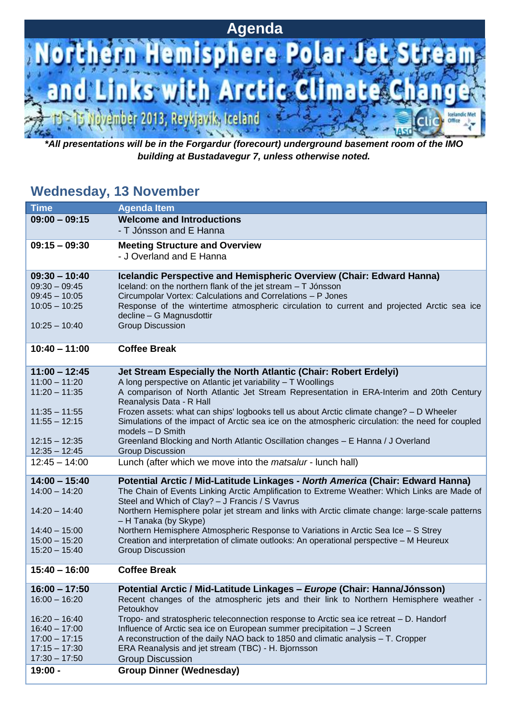

*\*All presentations will be in the Forgardur (forecourt) underground basement room of the IMO building at Bustadavegur 7, unless otherwise noted.*

#### **Wednesday, 13 November**

| <b>Time</b>                        | <b>Agenda Item</b>                                                                                                                                                            |
|------------------------------------|-------------------------------------------------------------------------------------------------------------------------------------------------------------------------------|
| $09:00 - 09:15$                    | <b>Welcome and Introductions</b>                                                                                                                                              |
|                                    | - T Jónsson and E Hanna                                                                                                                                                       |
| $09:15 - 09:30$                    | <b>Meeting Structure and Overview</b>                                                                                                                                         |
|                                    | - J Overland and E Hanna                                                                                                                                                      |
|                                    |                                                                                                                                                                               |
| $09:30 - 10:40$                    | Icelandic Perspective and Hemispheric Overview (Chair: Edward Hanna)                                                                                                          |
| $09:30 - 09:45$                    | Iceland: on the northern flank of the jet stream - T Jónsson                                                                                                                  |
| $09:45 - 10:05$<br>$10:05 - 10:25$ | Circumpolar Vortex: Calculations and Correlations - P Jones                                                                                                                   |
|                                    | Response of the wintertime atmospheric circulation to current and projected Arctic sea ice<br>decline - G Magnusdottir                                                        |
| $10:25 - 10:40$                    | <b>Group Discussion</b>                                                                                                                                                       |
|                                    |                                                                                                                                                                               |
| $10:40 - 11:00$                    | <b>Coffee Break</b>                                                                                                                                                           |
|                                    |                                                                                                                                                                               |
| $11:00 - 12:45$                    | Jet Stream Especially the North Atlantic (Chair: Robert Erdelyi)                                                                                                              |
| $11:00 - 11:20$                    | A long perspective on Atlantic jet variability - T Woollings                                                                                                                  |
| $11:20 - 11:35$                    | A comparison of North Atlantic Jet Stream Representation in ERA-Interim and 20th Century                                                                                      |
| $11:35 - 11:55$                    | Reanalysis Data - R Hall<br>Frozen assets: what can ships' logbooks tell us about Arctic climate change? - D Wheeler                                                          |
| $11:55 - 12:15$                    | Simulations of the impact of Arctic sea ice on the atmospheric circulation: the need for coupled                                                                              |
|                                    | $models - D$ Smith                                                                                                                                                            |
| $12:15 - 12:35$                    | Greenland Blocking and North Atlantic Oscillation changes - E Hanna / J Overland                                                                                              |
| $12:35 - 12:45$                    | <b>Group Discussion</b>                                                                                                                                                       |
| $12:45 - 14:00$                    | Lunch (after which we move into the <i>matsalur</i> - lunch hall)                                                                                                             |
| $14:00 - 15:40$                    | Potential Arctic / Mid-Latitude Linkages - North America (Chair: Edward Hanna)                                                                                                |
| $14:00 - 14:20$                    | The Chain of Events Linking Arctic Amplification to Extreme Weather: Which Links are Made of                                                                                  |
|                                    | Steel and Which of Clay? - J Francis / S Vavrus                                                                                                                               |
| $14:20 - 14:40$                    | Northern Hemisphere polar jet stream and links with Arctic climate change: large-scale patterns                                                                               |
|                                    | - H Tanaka (by Skype)                                                                                                                                                         |
| $14:40 - 15:00$<br>$15:00 - 15:20$ | Northern Hemisphere Atmospheric Response to Variations in Arctic Sea Ice - S Strey<br>Creation and interpretation of climate outlooks: An operational perspective - M Heureux |
| $15:20 - 15:40$                    | <b>Group Discussion</b>                                                                                                                                                       |
|                                    |                                                                                                                                                                               |
| $15:40 - 16:00$                    | <b>Coffee Break</b>                                                                                                                                                           |
| $16:00 - 17:50$                    | Potential Arctic / Mid-Latitude Linkages - Europe (Chair: Hanna/Jónsson)                                                                                                      |
| $16:00 - 16:20$                    | Recent changes of the atmospheric jets and their link to Northern Hemisphere weather -<br>Petoukhov                                                                           |
| $16:20 - 16:40$                    | Tropo- and stratospheric teleconnection response to Arctic sea ice retreat - D. Handorf                                                                                       |
| $16:40 - 17:00$                    | Influence of Arctic sea ice on European summer precipitation - J Screen                                                                                                       |
| $17:00 - 17:15$                    | A reconstruction of the daily NAO back to 1850 and climatic analysis – T. Cropper                                                                                             |
| $17:15 - 17:30$                    | ERA Reanalysis and jet stream (TBC) - H. Bjornsson                                                                                                                            |
| $17:30 - 17:50$                    | <b>Group Discussion</b>                                                                                                                                                       |
| 19:00 -                            | <b>Group Dinner (Wednesday)</b>                                                                                                                                               |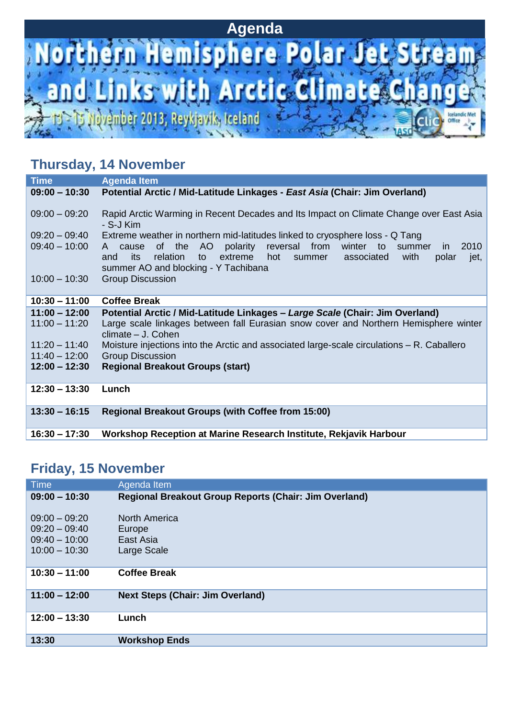## **Agenda**



### **Thursday, 14 November**

| <b>Time</b>                        | <b>Agenda Item</b>                                                                                                                                                                                                                                                                                                 |
|------------------------------------|--------------------------------------------------------------------------------------------------------------------------------------------------------------------------------------------------------------------------------------------------------------------------------------------------------------------|
| $09:00 - 10:30$                    | Potential Arctic / Mid-Latitude Linkages - East Asia (Chair: Jim Overland)                                                                                                                                                                                                                                         |
| $09:00 - 09:20$                    | Rapid Arctic Warming in Recent Decades and Its Impact on Climate Change over East Asia<br>- S-J Kim                                                                                                                                                                                                                |
| $09:20 - 09:40$<br>$09:40 - 10:00$ | Extreme weather in northern mid-latitudes linked to cryosphere loss - Q Tang<br>AO<br>polarity<br>reversal from<br>2010<br>of the<br>winter to<br>A cause<br>summer<br>in.<br>extreme<br>with<br>its<br>relation<br>hot<br>summer associated<br>polar<br>and<br>to<br>jet,<br>summer AO and blocking - Y Tachibana |
| $10:00 - 10:30$                    | <b>Group Discussion</b>                                                                                                                                                                                                                                                                                            |
| $10:30 - 11:00$                    | <b>Coffee Break</b>                                                                                                                                                                                                                                                                                                |
| $11:00 - 12:00$<br>$11:00 - 11:20$ | Potential Arctic / Mid-Latitude Linkages - Large Scale (Chair: Jim Overland)<br>Large scale linkages between fall Eurasian snow cover and Northern Hemisphere winter<br>climate - J. Cohen                                                                                                                         |
| $11:20 - 11:40$                    | Moisture injections into the Arctic and associated large-scale circulations – R. Caballero                                                                                                                                                                                                                         |
| $11:40 - 12:00$                    | <b>Group Discussion</b>                                                                                                                                                                                                                                                                                            |
| $12:00 - 12:30$                    | <b>Regional Breakout Groups (start)</b>                                                                                                                                                                                                                                                                            |
| $12:30 - 13:30$                    | Lunch                                                                                                                                                                                                                                                                                                              |
| $13:30 - 16:15$                    | <b>Regional Breakout Groups (with Coffee from 15:00)</b>                                                                                                                                                                                                                                                           |
| $16:30 - 17:30$                    | Workshop Reception at Marine Research Institute, Rekjavik Harbour                                                                                                                                                                                                                                                  |

### **Friday, 15 November**

| <b>Time</b>     | Agenda Item                                                  |
|-----------------|--------------------------------------------------------------|
| $09:00 - 10:30$ | <b>Regional Breakout Group Reports (Chair: Jim Overland)</b> |
|                 |                                                              |
| $09:00 - 09:20$ | <b>North America</b>                                         |
| $09:20 - 09:40$ | Europe                                                       |
| $09:40 - 10:00$ | East Asia                                                    |
| $10:00 - 10:30$ | Large Scale                                                  |
|                 |                                                              |
| $10:30 - 11:00$ | <b>Coffee Break</b>                                          |
|                 |                                                              |
| $11:00 - 12:00$ | <b>Next Steps (Chair: Jim Overland)</b>                      |
|                 |                                                              |
| $12:00 - 13:30$ | Lunch                                                        |
|                 |                                                              |
| 13:30           | <b>Workshop Ends</b>                                         |
|                 |                                                              |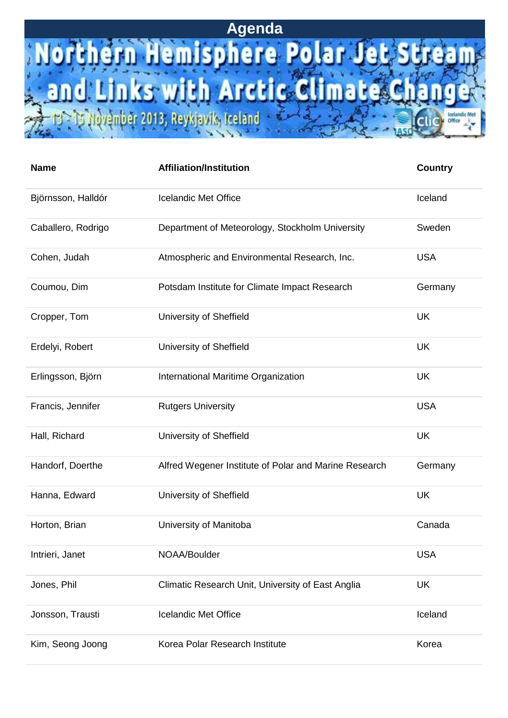## **Agenda**

## Northern Hemisphere Polar Jet SI Links with Arctic Climate Ch an T.

Office

Qvémber 2013, Reykjavík, Iceland

| <b>Name</b>        | <b>Affiliation/Institution</b>                        | <b>Country</b> |
|--------------------|-------------------------------------------------------|----------------|
| Björnsson, Halldór | <b>Icelandic Met Office</b>                           | Iceland        |
| Caballero, Rodrigo | Department of Meteorology, Stockholm University       | Sweden         |
| Cohen, Judah       | Atmospheric and Environmental Research, Inc.          | <b>USA</b>     |
| Coumou, Dim        | Potsdam Institute for Climate Impact Research         | Germany        |
| Cropper, Tom       | University of Sheffield                               | <b>UK</b>      |
| Erdelyi, Robert    | University of Sheffield                               | <b>UK</b>      |
| Erlingsson, Björn  | International Maritime Organization                   | <b>UK</b>      |
| Francis, Jennifer  | <b>Rutgers University</b>                             | <b>USA</b>     |
| Hall, Richard      | University of Sheffield                               | <b>UK</b>      |
| Handorf, Doerthe   | Alfred Wegener Institute of Polar and Marine Research | Germany        |
| Hanna, Edward      | University of Sheffield                               | <b>UK</b>      |
| Horton, Brian      | University of Manitoba                                | Canada         |
| Intrieri, Janet    | NOAA/Boulder                                          | <b>USA</b>     |
| Jones, Phil        | Climatic Research Unit, University of East Anglia     | <b>UK</b>      |
| Jonsson, Trausti   | <b>Icelandic Met Office</b>                           | Iceland        |
| Kim, Seong Joong   | Korea Polar Research Institute                        | Korea          |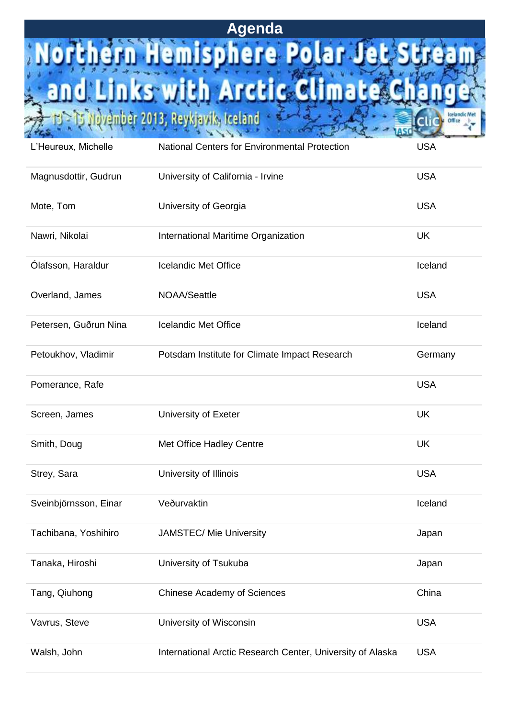# Agenda<br>**Northern Hemisphere Polar Jet S** Links with Arctic Climate Ch nd a

Office

S (lovember 2013, Reykjavík, Iceland

| L'Heureux, Michelle   | <b>National Centers for Environmental Protection</b>       | <b>USA</b> |
|-----------------------|------------------------------------------------------------|------------|
| Magnusdottir, Gudrun  | University of California - Irvine                          | <b>USA</b> |
| Mote, Tom             | University of Georgia                                      | <b>USA</b> |
| Nawri, Nikolai        | International Maritime Organization                        | <b>UK</b>  |
| Ólafsson, Haraldur    | <b>Icelandic Met Office</b>                                | Iceland    |
| Overland, James       | <b>NOAA/Seattle</b>                                        | <b>USA</b> |
| Petersen, Guðrun Nina | <b>Icelandic Met Office</b>                                | Iceland    |
| Petoukhov, Vladimir   | Potsdam Institute for Climate Impact Research              | Germany    |
| Pomerance, Rafe       |                                                            | <b>USA</b> |
| Screen, James         | University of Exeter                                       | <b>UK</b>  |
| Smith, Doug           | Met Office Hadley Centre                                   | <b>UK</b>  |
| Strey, Sara           | University of Illinois                                     | <b>USA</b> |
| Sveinbjörnsson, Einar | Veðurvaktin                                                | Iceland    |
| Tachibana, Yoshihiro  | <b>JAMSTEC/ Mie University</b>                             | Japan      |
| Tanaka, Hiroshi       | University of Tsukuba                                      | Japan      |
| Tang, Qiuhong         | <b>Chinese Academy of Sciences</b>                         | China      |
| Vavrus, Steve         | University of Wisconsin                                    | <b>USA</b> |
| Walsh, John           | International Arctic Research Center, University of Alaska | <b>USA</b> |